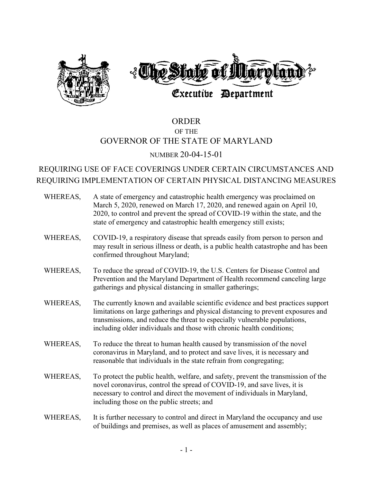

# ORDER OF THE GOVERNOR OF THE STATE OF MARYLAND

### NUMBER 20-04-15-01

## REQUIRING USE OF FACE COVERINGS UNDER CERTAIN CIRCUMSTANCES AND REQUIRING IMPLEMENTATION OF CERTAIN PHYSICAL DISTANCING MEASURES

- WHEREAS, A state of emergency and catastrophic health emergency was proclaimed on March 5, 2020, renewed on March 17, 2020, and renewed again on April 10, 2020, to control and prevent the spread of COVID-19 within the state, and the state of emergency and catastrophic health emergency still exists;
- WHEREAS, COVID-19, a respiratory disease that spreads easily from person to person and may result in serious illness or death, is a public health catastrophe and has been confirmed throughout Maryland;
- WHEREAS, To reduce the spread of COVID-19, the U.S. Centers for Disease Control and Prevention and the Maryland Department of Health recommend canceling large gatherings and physical distancing in smaller gatherings;
- WHEREAS, The currently known and available scientific evidence and best practices support limitations on large gatherings and physical distancing to prevent exposures and transmissions, and reduce the threat to especially vulnerable populations, including older individuals and those with chronic health conditions;
- WHEREAS, To reduce the threat to human health caused by transmission of the novel coronavirus in Maryland, and to protect and save lives, it is necessary and reasonable that individuals in the state refrain from congregating;
- WHEREAS, To protect the public health, welfare, and safety, prevent the transmission of the novel coronavirus, control the spread of COVID-19, and save lives, it is necessary to control and direct the movement of individuals in Maryland, including those on the public streets; and
- WHEREAS, It is further necessary to control and direct in Maryland the occupancy and use of buildings and premises, as well as places of amusement and assembly;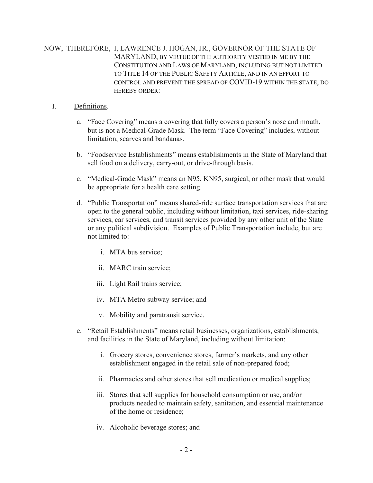#### NOW, THEREFORE, I, LAWRENCE J. HOGAN, JR., GOVERNOR OF THE STATE OF MARYLAND, BY VIRTUE OF THE AUTHORITY VESTED IN ME BY THE CONSTITUTION AND LAWS OF MARYLAND, INCLUDING BUT NOT LIMITED TO TITLE 14 OF THE PUBLIC SAFETY ARTICLE, AND IN AN EFFORT TO CONTROL AND PREVENT THE SPREAD OF COVID-19 WITHIN THE STATE, DO HEREBY ORDER:

#### I. Definitions.

- a. "Face Covering" means a covering that fully covers a person's nose and mouth, but is not a Medical-Grade Mask. The term "Face Covering" includes, without limitation, scarves and bandanas.
- b. "Foodservice Establishments" means establishments in the State of Maryland that sell food on a delivery, carry-out, or drive-through basis.
- c. "Medical-Grade Mask" means an N95, KN95, surgical, or other mask that would be appropriate for a health care setting.
- d. "Public Transportation" means shared-ride surface transportation services that are open to the general public, including without limitation, taxi services, ride-sharing services, car services, and transit services provided by any other unit of the State or any political subdivision. Examples of Public Transportation include, but are not limited to:
	- i. MTA bus service;
	- ii. MARC train service;
	- iii. Light Rail trains service;
	- iv. MTA Metro subway service; and
	- v. Mobility and paratransit service.
- e. "Retail Establishments" means retail businesses, organizations, establishments, and facilities in the State of Maryland, including without limitation:
	- i. Grocery stores, convenience stores, farmer's markets, and any other establishment engaged in the retail sale of non-prepared food;
	- ii. Pharmacies and other stores that sell medication or medical supplies;
	- iii. Stores that sell supplies for household consumption or use, and/or products needed to maintain safety, sanitation, and essential maintenance of the home or residence;
	- iv. Alcoholic beverage stores; and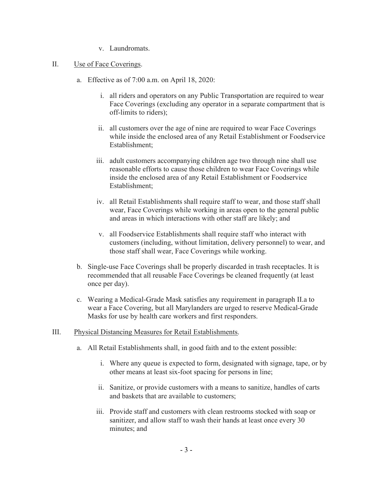v. Laundromats.

#### II. Use of Face Coverings.

- a. Effective as of 7:00 a.m. on April 18, 2020:
	- i. all riders and operators on any Public Transportation are required to wear Face Coverings (excluding any operator in a separate compartment that is off-limits to riders);
	- ii. all customers over the age of nine are required to wear Face Coverings while inside the enclosed area of any Retail Establishment or Foodservice Establishment;
	- iii. adult customers accompanying children age two through nine shall use reasonable efforts to cause those children to wear Face Coverings while inside the enclosed area of any Retail Establishment or Foodservice Establishment;
	- iv. all Retail Establishments shall require staff to wear, and those staff shall wear, Face Coverings while working in areas open to the general public and areas in which interactions with other staff are likely; and
	- v. all Foodservice Establishments shall require staff who interact with customers (including, without limitation, delivery personnel) to wear, and those staff shall wear, Face Coverings while working.
- b. Single-use Face Coverings shall be properly discarded in trash receptacles. It is recommended that all reusable Face Coverings be cleaned frequently (at least once per day).
- c. Wearing a Medical-Grade Mask satisfies any requirement in paragraph II.a to wear a Face Covering, but all Marylanders are urged to reserve Medical-Grade Masks for use by health care workers and first responders.

#### III. Physical Distancing Measures for Retail Establishments.

- a. All Retail Establishments shall, in good faith and to the extent possible:
	- i. Where any queue is expected to form, designated with signage, tape, or by other means at least six-foot spacing for persons in line;
	- ii. Sanitize, or provide customers with a means to sanitize, handles of carts and baskets that are available to customers;
	- iii. Provide staff and customers with clean restrooms stocked with soap or sanitizer, and allow staff to wash their hands at least once every 30 minutes; and